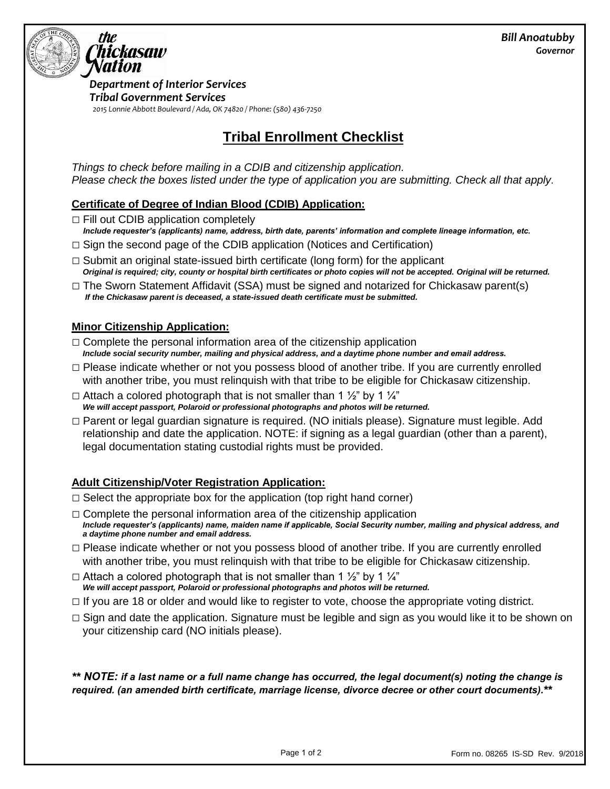

*Department of Interior Services Tribal Government Services 2015 Lonnie Abbott Boulevard / Ada, OK 74820 / Phone: (580) 436-7250*

# **Tribal Enrollment Checklist**

*Things to check before mailing in a CDIB and citizenship application. Please check the boxes listed under the type of application you are submitting. Check all that apply.* 

#### **Certificate of Degree of Indian Blood (CDIB) Application:**

 $\Box$  Fill out CDIB application completely

- *Include requester's (applicants) name, address, birth date, parents' information and complete lineage information, etc.*
- $\Box$  Sign the second page of the CDIB application (Notices and Certification)
- $\Box$  Submit an original state-issued birth certificate (long form) for the applicant *Original is required; city, county or hospital birth certificates or photo copies will not be accepted. Original will be returned.*
- $\Box$  The Sworn Statement Affidavit (SSA) must be signed and notarized for Chickasaw parent(s) *If the Chickasaw parent is deceased, a state-issued death certificate must be submitted.*

#### **Minor Citizenship Application:**

- $\Box$  Complete the personal information area of the citizenship application *Include social security number, mailing and physical address, and a daytime phone number and email address.*
- $\Box$  Please indicate whether or not you possess blood of another tribe. If you are currently enrolled with another tribe, you must relinquish with that tribe to be eligible for Chickasaw citizenship.
- $\Box$  Attach a colored photograph that is not smaller than 1  $\frac{1}{2}$  by 1  $\frac{1}{4}$ *We will accept passport, Polaroid or professional photographs and photos will be returned.*
- □ Parent or legal guardian signature is required. (NO initials please). Signature must legible. Add relationship and date the application. NOTE: if signing as a legal guardian (other than a parent), legal documentation stating custodial rights must be provided.

### **Adult Citizenship/Voter Registration Application:**

- $\Box$  Select the appropriate box for the application (top right hand corner)
- $\Box$  Complete the personal information area of the citizenship application *Include requester's (applicants) name, maiden name if applicable, Social Security number, mailing and physical address, and a daytime phone number and email address.*
- $\Box$  Please indicate whether or not you possess blood of another tribe. If you are currently enrolled with another tribe, you must relinquish with that tribe to be eligible for Chickasaw citizenship.
- $\Box$  Attach a colored photograph that is not smaller than 1  $\frac{1}{2}$ " by 1  $\frac{1}{4}$ " *We will accept passport, Polaroid or professional photographs and photos will be returned.*
- $\Box$  If you are 18 or older and would like to register to vote, choose the appropriate voting district.
- $\Box$  Sign and date the application. Signature must be legible and sign as you would like it to be shown on your citizenship card (NO initials please).

*\*\* NOTE: if a last name or a full name change has occurred, the legal document(s) noting the change is required. (an amended birth certificate, marriage license, divorce decree or other court documents).\*\**